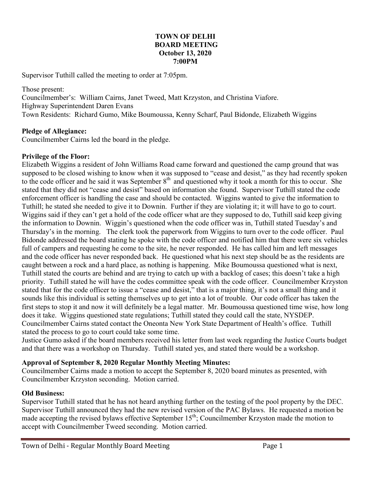#### **TOWN OF DELHI BOARD MEETING October 13, 2020 7:00PM**

Supervisor Tuthill called the meeting to order at 7:05pm.

Those present: Councilmember's: William Cairns, Janet Tweed, Matt Krzyston, and Christina Viafore. Highway Superintendent Daren Evans Town Residents: Richard Gumo, Mike Boumoussa, Kenny Scharf, Paul Bidonde, Elizabeth Wiggins

## **Pledge of Allegiance:**

Councilmember Cairns led the board in the pledge.

### **Privilege of the Floor:**

Elizabeth Wiggins a resident of John Williams Road came forward and questioned the camp ground that was supposed to be closed wishing to know when it was supposed to "cease and desist," as they had recently spoken to the code officer and he said it was September 8<sup>th</sup> and questioned why it took a month for this to occur. She stated that they did not "cease and desist" based on information she found. Supervisor Tuthill stated the code enforcement officer is handling the case and should be contacted. Wiggins wanted to give the information to Tuthill; he stated she needed to give it to Downin. Further if they are violating it; it will have to go to court. Wiggins said if they can't get a hold of the code officer what are they supposed to do, Tuthill said keep giving the information to Downin. Wiggin's questioned when the code officer was in, Tuthill stated Tuesday's and Thursday's in the morning. The clerk took the paperwork from Wiggins to turn over to the code officer. Paul Bidonde addressed the board stating he spoke with the code officer and notified him that there were six vehicles full of campers and requesting he come to the site, he never responded. He has called him and left messages and the code officer has never responded back. He questioned what his next step should be as the residents are caught between a rock and a hard place, as nothing is happening. Mike Boumoussa questioned what is next, Tuthill stated the courts are behind and are trying to catch up with a backlog of cases; this doesn't take a high priority. Tuthill stated he will have the codes committee speak with the code officer. Councilmember Krzyston stated that for the code officer to issue a "cease and desist," that is a major thing, it's not a small thing and it sounds like this individual is setting themselves up to get into a lot of trouble. Our code officer has taken the first steps to stop it and now it will definitely be a legal matter. Mr. Boumoussa questioned time wise, how long does it take. Wiggins questioned state regulations; Tuthill stated they could call the state, NYSDEP. Councilmember Cairns stated contact the Oneonta New York State Department of Health's office. Tuthill stated the process to go to court could take some time.

Justice Gumo asked if the board members received his letter from last week regarding the Justice Courts budget and that there was a workshop on Thursday. Tuthill stated yes, and stated there would be a workshop.

## **Approval of September 8, 2020 Regular Monthly Meeting Minutes:**

Councilmember Cairns made a motion to accept the September 8, 2020 board minutes as presented, with Councilmember Krzyston seconding. Motion carried.

#### **Old Business:**

Supervisor Tuthill stated that he has not heard anything further on the testing of the pool property by the DEC. Supervisor Tuthill announced they had the new revised version of the PAC Bylaws. He requested a motion be made accepting the revised bylaws effective September 15<sup>th</sup>; Councilmember Krzyston made the motion to accept with Councilmember Tweed seconding. Motion carried.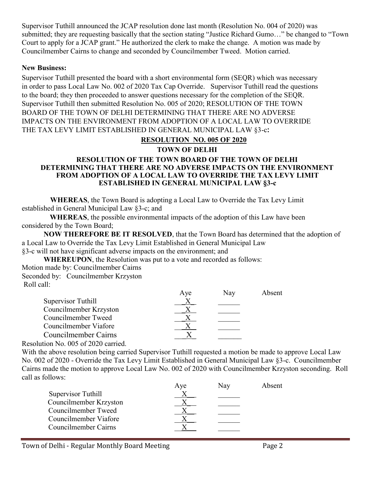Supervisor Tuthill announced the JCAP resolution done last month (Resolution No. 004 of 2020) was submitted; they are requesting basically that the section stating "Justice Richard Gumo…" be changed to "Town Court to apply for a JCAP grant." He authorized the clerk to make the change. A motion was made by Councilmember Cairns to change and seconded by Councilmember Tweed. Motion carried.

### **New Business:**

Supervisor Tuthill presented the board with a short environmental form (SEQR) which was necessary in order to pass Local Law No. 002 of 2020 Tax Cap Override. Supervisor Tuthill read the questions to the board; they then proceeded to answer questions necessary for the completion of the SEQR. Supervisor Tuthill then submitted Resolution No. 005 of 2020; RESOLUTION OF THE TOWN BOARD OF THE TOWN OF DELHI DETERMINING THAT THERE ARE NO ADVERSE IMPACTS ON THE ENVIRONMENT FROM ADOPTION OF A LOCAL LAW TO OVERRIDE THE TAX LEVY LIMIT ESTABLISHED IN GENERAL MUNICIPAL LAW §3-c**:**

# **RESOLUTION NO. 005 OF 2020**

### **TOWN OF DELHI**

### **RESOLUTION OF THE TOWN BOARD OF THE TOWN OF DELHI DETERMINING THAT THERE ARE NO ADVERSE IMPACTS ON THE ENVIRONMENT FROM ADOPTION OF A LOCAL LAW TO OVERRIDE THE TAX LEVY LIMIT ESTABLISHED IN GENERAL MUNICIPAL LAW §3-c**

**WHEREAS**, the Town Board is adopting a Local Law to Override the Tax Levy Limit established in General Municipal Law §3-c; and

**WHEREAS**, the possible environmental impacts of the adoption of this Law have been considered by the Town Board;

**NOW THEREFORE BE IT RESOLVED**, that the Town Board has determined that the adoption of a Local Law to Override the Tax Levy Limit Established in General Municipal Law

§3-c will not have significant adverse impacts on the environment; and

**WHEREUPON**, the Resolution was put to a vote and recorded as follows:

Motion made by: Councilmember Cairns Seconded by: Councilmember Krzyston Roll call:

|                        | Aye | <b>Nav</b> | Absent |
|------------------------|-----|------------|--------|
| Supervisor Tuthill     |     |            |        |
| Councilmember Krzyston |     |            |        |
| Councilmember Tweed    |     |            |        |
| Councilmember Viafore  |     |            |        |
| Councilmember Cairns   |     |            |        |
|                        |     |            |        |

Resolution No. 005 of 2020 carried.

With the above resolution being carried Supervisor Tuthill requested a motion be made to approve Local Law No. 002 of 2020 - Override the Tax Levy Limit Established in General Municipal Law §3-c. Councilmember Cairns made the motion to approve Local Law No. 002 of 2020 with Councilmember Krzyston seconding. Roll call as follows:

| Aye | Nav | Absent |
|-----|-----|--------|
|     |     |        |
|     |     |        |
|     |     |        |
|     |     |        |
|     |     |        |
|     |     |        |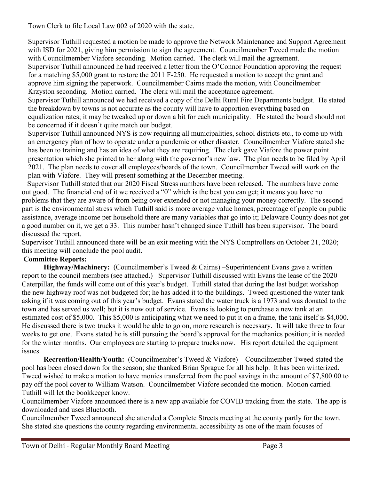Town Clerk to file Local Law 002 of 2020 with the state.

Supervisor Tuthill requested a motion be made to approve the Network Maintenance and Support Agreement with ISD for 2021, giving him permission to sign the agreement. Councilmember Tweed made the motion with Councilmember Viafore seconding. Motion carried. The clerk will mail the agreement. Supervisor Tuthill announced he had received a letter from the O'Connor Foundation approving the request for a matching \$5,000 grant to restore the 2011 F-250. He requested a motion to accept the grant and approve him signing the paperwork. Councilmember Cairns made the motion, with Councilmember Krzyston seconding. Motion carried. The clerk will mail the acceptance agreement.

Supervisor Tuthill announced we had received a copy of the Delhi Rural Fire Departments budget. He stated the breakdown by towns is not accurate as the county will have to apportion everything based on equalization rates; it may be tweaked up or down a bit for each municipality. He stated the board should not be concerned if it doesn't quite match our budget.

Supervisor Tuthill announced NYS is now requiring all municipalities, school districts etc., to come up with an emergency plan of how to operate under a pandemic or other disaster. Councilmember Viafore stated she has been to training and has an idea of what they are requiring. The clerk gave Viafore the power point presentation which she printed to her along with the governor's new law. The plan needs to be filed by April 2021. The plan needs to cover all employees/boards of the town. Councilmember Tweed will work on the plan with Viafore. They will present something at the December meeting.

 Supervisor Tuthill stated that our 2020 Fiscal Stress numbers have been released. The numbers have come out good. The financial end of it we received a "0" which is the best you can get; it means you have no problems that they are aware of from being over extended or not managing your money correctly. The second part is the environmental stress which Tuthill said is more average value homes, percentage of people on public assistance, average income per household there are many variables that go into it; Delaware County does not get a good number on it, we get a 33. This number hasn't changed since Tuthill has been supervisor. The board discussed the report.

Supervisor Tuthill announced there will be an exit meeting with the NYS Comptrollers on October 21, 2020; this meeting will conclude the pool audit.

# **Committee Reports:**

Highway/Machinery: (Councilmember's Tweed & Cairns) –Superintendent Evans gave a written report to the council members (see attached.) Supervisor Tuthill discussed with Evans the lease of the 2020 Caterpillar, the funds will come out of this year's budget. Tuthill stated that during the last budget workshop the new highway roof was not budgeted for; he has added it to the buildings. Tweed questioned the water tank asking if it was coming out of this year's budget. Evans stated the water truck is a 1973 and was donated to the town and has served us well; but it is now out of service. Evans is looking to purchase a new tank at an estimated cost of \$5,000. This \$5,000 is anticipating what we need to put it on a frame, the tank itself is \$4,000. He discussed there is two trucks it would be able to go on, more research is necessary. It will take three to four weeks to get one. Evans stated he is still pursuing the board's approval for the mechanics position; it is needed for the winter months. Our employees are starting to prepare trucks now. His report detailed the equipment issues.

**Recreation/Health/Youth:** (Councilmember's Tweed & Viafore) – Councilmember Tweed stated the pool has been closed down for the season; she thanked Brian Sprague for all his help. It has been winterized. Tweed wished to make a motion to have monies transferred from the pool savings in the amount of \$7,800.00 to pay off the pool cover to William Watson. Councilmember Viafore seconded the motion. Motion carried. Tuthill will let the bookkeeper know.

Councilmember Viafore announced there is a new app available for COVID tracking from the state. The app is downloaded and uses Bluetooth.

Councilmember Tweed announced she attended a Complete Streets meeting at the county partly for the town. She stated she questions the county regarding environmental accessibility as one of the main focuses of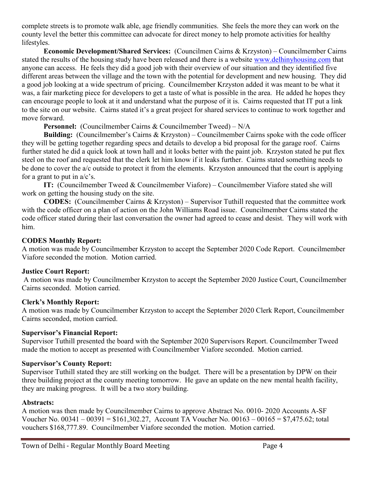complete streets is to promote walk able, age friendly communities. She feels the more they can work on the county level the better this committee can advocate for direct money to help promote activities for healthy lifestyles.

**Economic Development/Shared Services:** (Councilmen Cairns & Krzyston) – Councilmember Cairns stated the results of the housing study have been released and there is a website [www.delhinyhousing.com](http://www.delhinyhousing.com/) that anyone can access. He feels they did a good job with their overview of our situation and they identified five different areas between the village and the town with the potential for development and new housing. They did a good job looking at a wide spectrum of pricing. Councilmember Krzyston added it was meant to be what it was, a fair marketing piece for developers to get a taste of what is possible in the area. He added he hopes they can encourage people to look at it and understand what the purpose of it is. Cairns requested that IT put a link to the site on our website. Cairns stated it's a great project for shared services to continue to work together and move forward.

**Personnel:** (Councilmember Cairns & Councilmember Tweed) – N/A

**Building:** (Councilmember's Cairns & Krzyston) – Councilmember Cairns spoke with the code officer they will be getting together regarding specs and details to develop a bid proposal for the garage roof. Cairns further stated he did a quick look at town hall and it looks better with the paint job. Krzyston stated he put flex steel on the roof and requested that the clerk let him know if it leaks further. Cairns stated something needs to be done to cover the a/c outside to protect it from the elements. Krzyston announced that the court is applying for a grant to put in  $a/c$ 's.

**IT:** (Councilmember Tweed & Councilmember Viafore) – Councilmember Viafore stated she will work on getting the housing study on the site.

**CODES:** (Councilmember Cairns & Krzyston) – Supervisor Tuthill requested that the committee work with the code officer on a plan of action on the John Williams Road issue. Councilmember Cairns stated the code officer stated during their last conversation the owner had agreed to cease and desist. They will work with him.

## **CODES Monthly Report:**

A motion was made by Councilmember Krzyston to accept the September 2020 Code Report. Councilmember Viafore seconded the motion. Motion carried.

## **Justice Court Report:**

A motion was made by Councilmember Krzyston to accept the September 2020 Justice Court, Councilmember Cairns seconded. Motion carried.

## **Clerk's Monthly Report:**

A motion was made by Councilmember Krzyston to accept the September 2020 Clerk Report, Councilmember Cairns seconded, motion carried.

## **Supervisor's Financial Report:**

Supervisor Tuthill presented the board with the September 2020 Supervisors Report. Councilmember Tweed made the motion to accept as presented with Councilmember Viafore seconded. Motion carried.

## **Supervisor's County Report:**

Supervisor Tuthill stated they are still working on the budget. There will be a presentation by DPW on their three building project at the county meeting tomorrow. He gave an update on the new mental health facility, they are making progress. It will be a two story building.

## **Abstracts:**

A motion was then made by Councilmember Cairns to approve Abstract No. 0010- 2020 Accounts A-SF Voucher No. 00341 – 00391 = \$161,302.27, Account TA Voucher No. 00163 – 00165 = \$7,475.62; total vouchers \$168,777.89. Councilmember Viafore seconded the motion. Motion carried.